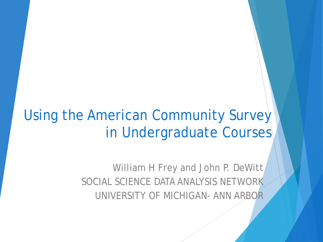### Using the American Community Survey in Undergraduate Courses

William H Frey and John P. DeWitt SOCIAL SCIENCE DATA ANALYSIS NETWORK UNIVERSITY OF MICHIGAN- ANN ARBOR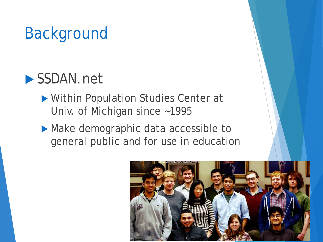# Background

### ▶ SSDAN.net

- Within Population Studies Center at Univ. of Michigan since ~1995
- Make demographic data accessible to general public and for use in education

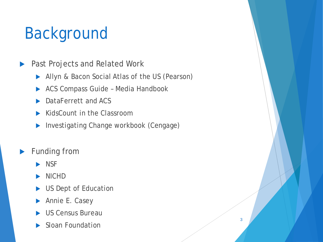# Background

- ▶ Past Projects and Related Work
	- Allyn & Bacon Social Atlas of the US (Pearson)
	- ▶ ACS Compass Guide Media Handbook
	- DataFerrett and ACS
	- KidsCount in the Classroom
	- Investigating Change workbook (Cengage)
- Funding from
	- $\blacktriangleright$  NSF
	- NICHD
	- US Dept of Education
	- Annie E. Casey
	- US Census Bureau
	- Sloan Foundation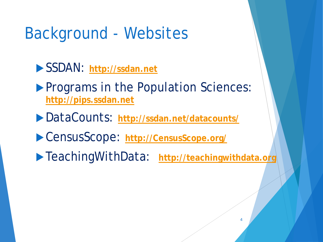### Background - Websites

- SSDAN: **[http://ssdan.net](http://ssdan.net/)**
- **Programs in the Population Sciences: [http://pips.ssdan.net](http://pips.ssdan.net/)**
- DataCounts: **<http://ssdan.net/datacounts/>**
- CensusScope: **[http://CensusScope.org/](http://censusscope.org/)**
- TeachingWithData: **[http://teachingwithdata.org](http://teachingwithdata.org/)**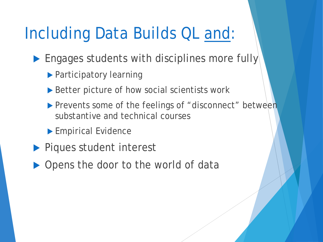## Including Data Builds QL and:

- Engages students with disciplines more fully
	- **Participatory learning**
	- ▶ Better picture of how social scientists work
	- Prevents some of the feelings of "disconnect" between substantive and technical courses
	- **Empirical Evidence**
- **Piques student interest**
- ▶ Opens the door to the world of data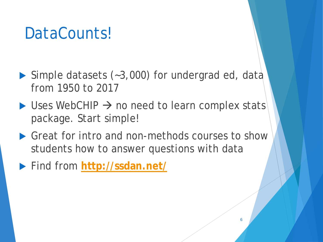- ▶ Simple datasets (~3,000) for undergrad ed, data from 1950 to 2017
- $\triangleright$  Uses WebCHIP  $\rightarrow$  no need to learn complex stats package. Start simple!
- ▶ Great for intro and non-methods courses to show students how to answer questions with data
- Find from **<http://ssdan.net/>**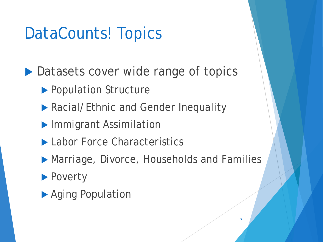## DataCounts! Topics

▶ Datasets cover wide range of topics

- ▶ Population Structure
- ▶ Racial/Ethnic and Gender Inequality
- **Immigrant Assimilation**
- ▶ Labor Force Characteristics
- ▶ Marriage, Divorce, Households and Families
- **Poverty**
- ▶ Aging Population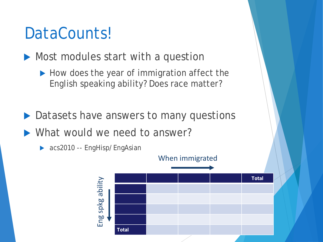Most modules start with a question

- How does the year of immigration affect the English speaking ability? Does race matter?
- ▶ Datasets have answers to many questions
- What would we need to answer?



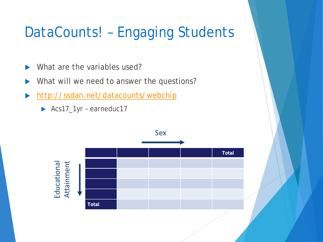### DataCounts! – Engaging Students

- What are the variables used?
- What will we need to answer the questions?
- <http://ssdan.net/datacounts/webchip>
	- Acs17\_1yr earneduc17

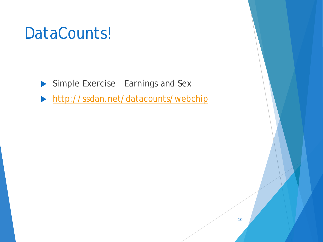- Simple Exercise Earnings and Sex
- <http://ssdan.net/datacounts/webchip>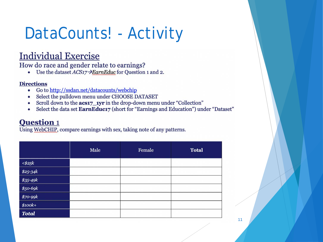# DataCounts! - Activity

### **Individual Exercise**

How do race and gender relate to earnings?

Use the dataset  $ACS17 \rightarrow EarnEduc$  for Question 1 and 2.  $\bullet$ 

### **Directions**

- Go to http://ssdan.net/datacounts/webchip  $\bullet$
- Select the pulldown menu under CHOOSE DATASET  $\bullet$
- Scroll down to the acs17 1yr in the drop-down menu under "Collection"  $\bullet$
- Select the data set EarnEduc17 (short for "Earnings and Education") under "Dataset"  $\bullet$

### **Question 1**

Using WebCHIP, compare earnings with sex, taking note of any patterns.

|                                                                                                                      | Male | Female | <b>Total</b> |
|----------------------------------------------------------------------------------------------------------------------|------|--------|--------------|
| $\begin{array}{r} \leq k \leq 25k \ \hline 1825-34k \ \hline 355-49k \ \hline 550-69k \ \hline 1870-99k \end{array}$ |      |        |              |
|                                                                                                                      |      |        |              |
|                                                                                                                      |      |        |              |
|                                                                                                                      |      |        |              |
|                                                                                                                      |      |        |              |
| $\$100k+$                                                                                                            |      |        |              |
| <b>Total</b>                                                                                                         |      |        |              |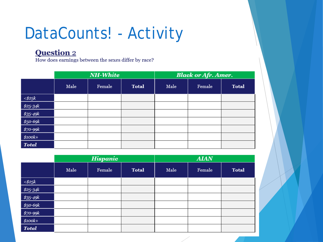## DataCounts! - Activity

### **Question 2**

How does earnings between the sexes differ by race?

|                      | <b>NH-White</b> |        |              | <b>Black or Afr. Amer.</b> |        |              |
|----------------------|-----------------|--------|--------------|----------------------------|--------|--------------|
|                      | Male            | Female | <b>Total</b> | Male                       | Female | <b>Total</b> |
| $<$ \$25 $k$         |                 |        |              |                            |        |              |
| $$25-34k$            |                 |        |              |                            |        |              |
| $$35-49k$            |                 |        |              |                            |        |              |
|                      |                 |        |              |                            |        |              |
| \$50-69k<br>\$70-99k |                 |        |              |                            |        |              |
| $$100k+$             |                 |        |              |                            |        |              |
| <b>Total</b>         |                 |        |              |                            |        |              |

|                  | <b>Hispanic</b> |        |              | <b>AIAN</b> |        |              |
|------------------|-----------------|--------|--------------|-------------|--------|--------------|
|                  | Male            | Female | <b>Total</b> | Male        | Female | <b>Total</b> |
| $<\!\!$ math525k |                 |        |              |             |        |              |
| $$25-34k$        |                 |        |              |             |        |              |
| $$35-49k$        |                 |        |              |             |        |              |
| \$50-69k         |                 |        |              |             |        |              |
| \$70-99k         |                 |        |              |             |        |              |
| $$100k+$         |                 |        |              |             |        |              |
| <b>Total</b>     |                 |        |              |             |        |              |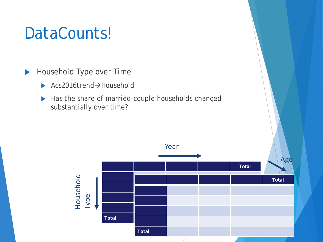Household Type over Time

- $\triangleright$  Acs2016trend $\rightarrow$ Household
- Has the share of married-couple households changed substantially over time?

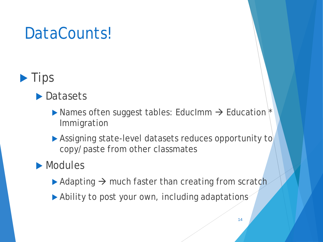### $\blacktriangleright$  Tips

### ▶ Datasets

- $\blacktriangleright$  Names often suggest tables: EducImm  $\rightarrow$  Education  $\dagger$ Immigration
- Assigning state-level datasets reduces opportunity to copy/paste from other classmates

### **Modules**

- $\blacktriangleright$  Adapting  $\rightarrow$  much faster than creating from scratch
- ▶ Ability to post your own, including adaptations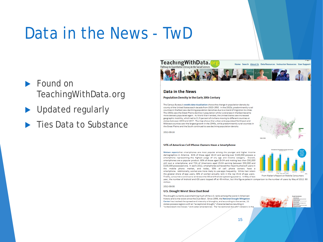## Data in the News - TwD

- $\blacktriangleright$  Found on TeachingWithData.org
- Updated regularly
- **Ties Data to Substance**



### Data in the News

### Population Density in the Early 20th Century

The Census Bureau's weekly data visualization shows the change in population density by county of the United States each decade from 1920-1950. In the 1920s, predominantly rural counties in the East saw declining population densities due to a trend of migration to cities. The 1930s saw the Great Plains decline in population while rural areas in the East became more densely populated again. As World War II ended, the United States saw increased geographic mobility, which led to 21.5 percent of civilians moving to different counties or states between 1940 and 1947. The map shows that urban and populated Northeast and Midwest counties saw the largest growth in the 1940s, while predominantly rural counties in the Great Plains and the South continued to see declining population density.

2012-08-16

### 55% of American Cell Phone Owners Have a Smartphone

Nielsen reportsthat smartphones are most popular among the younger and higher income demographics in America. 81% of those aged 18-24 and earning over \$100,000 possess a smartphone representing the highest usage of any age and income category. Overall, smartphones are a popular product: 60% of those aged 25-34 and making less than \$50,000 still own a smartphone; and 72% of Americans aged 25-34 earning between \$50,000 and \$100,000 possessed one. In early 2012, smartphones achieved the majority share of users in the mobile phone market, and today, 55% of cell phone owners have a smartphone. Additionally, women are more likely to use apps frequently. While men retain the greater share of app users. 58% of women actually rank in the top third of app users. Finally, consumers continue to embrace the iOS and Android operating systems. In May of last

From Nielen's Report on Mobile Consumers

year, the number of Android and iOS users topped off at 49 million, but this figure pales in comparison to the number of users by May of 2012: 90

million. 2012-08-08

### **U.S. Drought Worst Since Dust Bowl**

The drought currently overwhelming much of the U.S. ranks among the worst in American history and is the worst since the Dust Bowl. Since 1999, the National Drought Mitigation Center has tracked the spread and intensity of droughts, and according to the center, 11 states possess regions with an "exceptional drought," characterized as resulting in "widespread crop losses." and water emergencies. The "exceptional drought" category is the

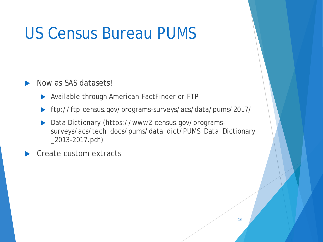## US Census Bureau PUMS

Now as SAS datasets!

▶ Available through American FactFinder or FTP

- ftp://ftp.census.gov/programs-surveys/acs/data/pums/2017/
- Data Dictionary (https://www2.census.gov/programssurveys/acs/tech\_docs/pums/data\_dict/PUMS\_Data\_Dictionary \_2013-2017.pdf)

Create custom extracts